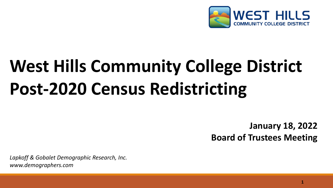

# **West Hills Community College District Post-2020 Census Redistricting**

**January 18, 2022 Board of Trustees Meeting**

*Lapkoff & Gobalet Demographic Research, Inc. www.demographers.com*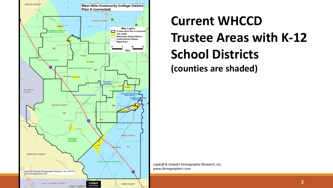

## **Current WHCCD Trustee Areas with K-12 School Districts (counties are shaded)**

*Lapkoff & Gobalet Demographic Research, Inc. www.demographers.com*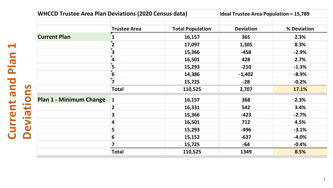| <b>WHCCD Trustee Area Plan Deviations (2020 Census data)</b> |                         |                         | <b>Ideal Trustee Area Population = 15,789</b> |             |
|--------------------------------------------------------------|-------------------------|-------------------------|-----------------------------------------------|-------------|
|                                                              | <b>Trustee Area</b>     | <b>Total Population</b> | <b>Deviation</b>                              | % Deviation |
| <b>Current Plan</b>                                          |                         | 16,157                  | 365                                           | 2.3%        |
|                                                              | $\overline{2}$          | 17,097                  | 1,305                                         | 8.3%        |
|                                                              | $\overline{\mathbf{3}}$ | 15,366                  | $-458$                                        | $-2.9%$     |
|                                                              | $\overline{\mathbf{4}}$ | 16,501                  | 428                                           | 2.7%        |
|                                                              | 5                       | 15,293                  | $-210$                                        | $-1.3%$     |
|                                                              | $\overline{\mathbf{6}}$ | 14,386                  | $-1,402$                                      | $-8.9%$     |
|                                                              | $\overline{\mathbf{z}}$ | 15,725                  | $-28$                                         | $-0.2%$     |
|                                                              | <b>Total</b>            | 110,525                 | 2,707                                         | 17.1%       |
| <b>Plan 1 - Minimum Change</b>                               | $\vert$ 1               | 16,157                  | 368                                           | 2.3%        |
|                                                              | $\overline{2}$          | 16,331                  | 542                                           | 3.4%        |
|                                                              | 3                       | 15,366                  | $-423$                                        | $-2.7%$     |
|                                                              | 4                       | 16,501                  | 712                                           | 4.5%        |
|                                                              | 5                       | 15,293                  | $-496$                                        | $-3.1%$     |
|                                                              | 6                       | 15,152                  | $-637$                                        | $-4.0%$     |
|                                                              | 7                       | 15,725                  | -64                                           | $-0.4%$     |
|                                                              | <b>Total</b>            | 110,525                 | 1349                                          | 8.5%        |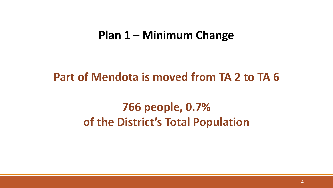### **Plan 1 – Minimum Change**

### **Part of Mendota is moved from TA 2 to TA 6**

### **766 people, 0.7% of the District's Total Population**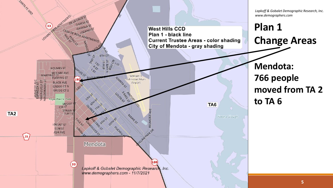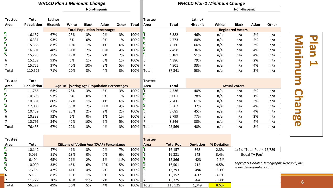#### *WHCCD Plan 1 Minimum Change*

#### **Non-Hispanic**

#### *WHCCD Plan 1 Minimum Change*

**Non-Hispanic**

| <b>Trustee</b>                                           | <b>Total</b>      | Latino/                                     |                                                  |              |                                     |                      |              | <b>Trustee</b>          |                  | Latino/                  |             |              |                             |       |                                              |
|----------------------------------------------------------|-------------------|---------------------------------------------|--------------------------------------------------|--------------|-------------------------------------|----------------------|--------------|-------------------------|------------------|--------------------------|-------------|--------------|-----------------------------|-------|----------------------------------------------|
| Area                                                     | <b>Population</b> | <b>Hispanic</b>                             | White                                            | <b>Black</b> | Asian                               | Other                | <b>Total</b> | Area                    | <b>Total</b>     | <b>Hispanic</b>          | White       | <b>Black</b> | Asian                       | Other |                                              |
|                                                          |                   |                                             |                                                  |              | <b>Total Population Percentages</b> |                      |              |                         |                  | <b>Registered Voters</b> |             |              |                             |       |                                              |
| $\mathbf{r}_1$                                           | 16,157            | 67%                                         | 25%                                              | 3%           | 2%                                  | 3%                   | 100%         | $\mathbf{I}$            | 6,382            | 46%                      | n/a         | n/a          | 2%                          | n/a   |                                              |
| $\frac{1}{3}$ $\frac{1}{4}$ $\frac{1}{5}$                | 16,331            | 93%                                         | 5%                                               | 0%           | 0%                                  | 1%                   | 100%         | $\overline{2}$          | 4,773            | 80%                      | n/a         | n/a          | 2%                          | n/a   | $\mathbf{S}$                                 |
|                                                          | 15,366            | 83%                                         | 10%                                              | 1%           | 1%                                  | 6%                   | 100%         | $\overline{3}$          | 4,260            | 66%                      | n/a         | n/a          | 3%                          | n/a   | $\blacksquare$                               |
|                                                          | 16,501            | 48%                                         | 31%                                              | 7%           | 10%                                 | 4%                   | 100%         | $\mathbf{z}$            | 7,458            | 36%                      | n/a         | n/a          | 4%                          | n/a   | 5                                            |
|                                                          | 15,293            | 75%                                         | 19%                                              | 2%           | 2%                                  | 2%                   | 100%         | $\overline{5}$          | 5,181            | 51%                      | n/a         | n/a          | 4%                          | n/a   | $\sim$ $\sim$                                |
| 6                                                        | 15,152            | 93%                                         | 5%                                               | 1%           | 0%                                  | 1%                   | 100%         | $\boldsymbol{6}$        | 4,386            | 79%                      | n/a         | n/a          | 2%                          | n/a   |                                              |
| 7                                                        | 15,725            | 37%                                         | 40%                                              | 10%          | 8%                                  | 5%                   | 100%         | $\overline{7}$          | 4,901            | 33%                      | n/a         | n/a          | 4%                          | n/a   |                                              |
| Total                                                    | 110,525           | 71%                                         | 20%                                              | 3%           | 4%                                  | 3%                   | 100%         | Total                   | 37,341           | 53%                      | n/a         | n/a          | 3%                          | n/a   | $\blacksquare$                               |
| <b>Trustee</b>                                           | <b>Total</b>      |                                             |                                                  |              |                                     |                      |              | <b>Trustee</b>          |                  |                          |             |              |                             |       | 3                                            |
| Area                                                     | Population        | Age 18+ (Voting Age) Population Percentages |                                                  |              |                                     | <b>Total</b><br>Area |              |                         |                  | <b>Actual Voters</b>     |             |              |                             |       |                                              |
| $\mathbf{I}$                                             | 11,766            | 63%                                         | 28%                                              | 3%           | 3%                                  | 3%                   | 100%         | $\mathbf{1}$            | 4,536            | 40%                      | n/a         | n/a          | 2%                          | n/a   | $\bigcap$                                    |
|                                                          | 10,698            | 93%                                         | 6%                                               | 0%           | 0%                                  | 1%                   | 100%         | $\overline{2}$          | 3,001            | 78%                      | n/a         | n/a          | 1%                          | n/a   |                                              |
| $\begin{array}{c}\n 2 \\ -3 \\ \hline\n 4\n \end{array}$ | 10,381            | 80%                                         | 12%                                              | 1%           | 1%                                  | 6%                   | 100%         | $\overline{3}$          | 2,700            | 61%                      | n/a         | n/a          | 3%                          | n/a   | $\overline{\mathbf{J}}$                      |
|                                                          | 12,000            | 43%                                         | 35%                                              | 7%           | 11%                                 | 4%                   | 100%         | $\mathbf{z}$            | 5,302            | 32%                      | n/a         | n/a          | 4%                          | n/a   | $\boldsymbol{\omega}$                        |
| $\overline{5}$                                           | 10,459            | 71%                                         | 23%                                              | 2%           | 2%                                  | 2%                   | 100%         | $\overline{5}$          | 3,685            | 45%                      | n/a         | n/a          | 4%                          | n/a   |                                              |
| 6                                                        | 10,338            | 92%                                         | 6%                                               | 0%           | 1%                                  | 1%                   | 100%         | $\boldsymbol{6}$        | 2,799            | 77%                      | n/a         | n/a          | 2%                          | n/a   | <b>OO</b>                                    |
| 7                                                        | 10,796            | 34%                                         | 42%                                              | 10%          | 9%                                  | 5%                   | 100%         | $\overline{7}$          | 3,546            | 30%                      | n/a         | n/a          | 4%                          | n/a   |                                              |
| Total                                                    | 76,438            | 67%                                         | 22%                                              | 3%           | 4%                                  | 3%                   | 100%         | Total                   | 25,569           | 48%                      | n/a         | n/a          | 3%                          | n/a   | $\mathbf \Omega$                             |
| <b>Trustee</b>                                           |                   |                                             |                                                  |              |                                     |                      |              | <b>Trustee</b>          |                  |                          |             |              |                             |       |                                              |
| Area                                                     | <b>Total</b>      |                                             | <b>Citizens of Voting Age (CVAP) Percentages</b> |              |                                     |                      |              | <b>Area</b>             | <b>Total Pop</b> | <b>Deviation</b>         | % Deviation |              |                             |       |                                              |
| $\overline{1}$                                           | 10,142            | 47%                                         | 41%                                              | 3%           | 2%                                  | 7%                   | 100%         | $\mathbf{1}$            | 16,157           | 368                      | 2.3%        |              | $1/7$ of Total Pop = 15,789 |       |                                              |
|                                                          | 5,095             | 81%                                         | 13%                                              | 0%           | 0%                                  | 6%                   | 100%         | $\overline{2}$          | 16,331           | 542                      | 3.4%        |              | (Ideal TA Pop)              |       |                                              |
| $\frac{1}{3}$ $\frac{1}{4}$ $\frac{1}{5}$                | 6,404             | 65%                                         | 21%                                              | 2%           | 1%                                  | 11%                  | 100%         | $\overline{\mathbf{3}}$ | 15,366           | $-423$                   | $-2.7%$     |              |                             |       |                                              |
|                                                          | 10,090            | 33%                                         | 45%                                              | 6%           | 10%                                 | 5%                   | 100%         | $\mathbf{z}$            | 16,501           | 712                      | 4.5%        |              |                             |       | Lapkoff & Gobalet Demographic Research, Inc. |
|                                                          | 7,736             | 47%                                         | 41%                                              | 4%           | 2%                                  | 6%                   | 100%         | $\overline{5}$          | 15,293           | $-496$                   | $-3.1%$     |              | www.demographers.com        |       |                                              |
| $6\overline{6}$                                          | 5,133             | 81%                                         | 13%                                              | 1%           | 0%                                  | 5%                   | 100%         | 6                       | 15,152           | $-637$                   | $-4.0%$     |              |                             |       |                                              |
| $\overline{7}$                                           | 11,727            | 30%                                         | 48%                                              | 11%          | 7%                                  | 5%                   | 100%         | $\overline{7}$          | 15,725           | $-64$                    | $-0.4%$     |              |                             |       |                                              |

Total 56,327 49% 36% 5% 4% 6% 100% Total 110,525 1,349 <mark> 8.5%</mark>

**Plan 1 Minimum Change** Minimum **Change**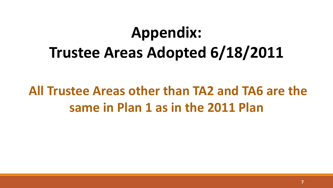# **Appendix: Trustee Areas Adopted 6/18/2011**

## **All Trustee Areas other than TA2 and TA6 are the same in Plan 1 as in the 2011 Plan**